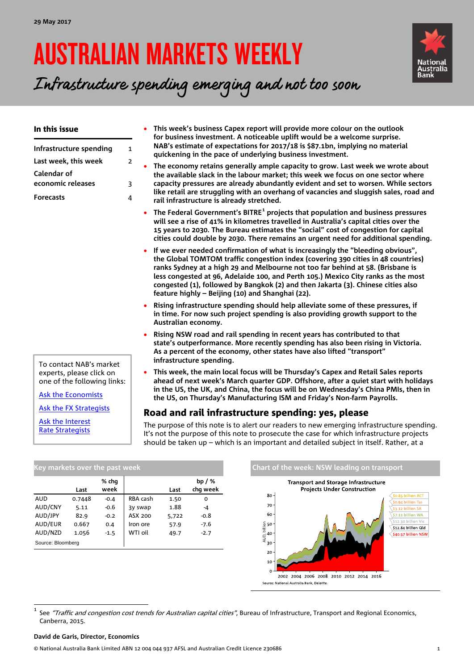# AUSTRALIAN MARKETS WEEKLY



Infrastructure spending emerging and not too soon

| In this issue                                                                                                   |                                          | This week's business Capex report will provide more colour on the outlook<br>for business investment. A noticeable uplift would be a welcome surprise.                                                                                                                                                                                                                                                                                                                                                                                      |
|-----------------------------------------------------------------------------------------------------------------|------------------------------------------|---------------------------------------------------------------------------------------------------------------------------------------------------------------------------------------------------------------------------------------------------------------------------------------------------------------------------------------------------------------------------------------------------------------------------------------------------------------------------------------------------------------------------------------------|
| Infrastructure spending<br>Last week, this week<br>Calendar of<br>economic releases<br><b>Forecasts</b>         | $\mathbf{1}$<br>$\overline{2}$<br>3<br>4 | NAB's estimate of expectations for 2017/18 is \$87.1bn, implying no material<br>quickening in the pace of underlying business investment.<br>The economy retains generally ample capacity to grow. Last week we wrote about<br>the available slack in the labour market; this week we focus on one sector where<br>capacity pressures are already abundantly evident and set to worsen. While sectors<br>like retail are struggling with an overhang of vacancies and sluggish sales, road and<br>rail infrastructure is already stretched. |
|                                                                                                                 | $\bullet$                                | The Federal Government's BITRE <sup>1</sup> projects that population and business pressures<br>will see a rise of 41% in kilometres travelled in Australia's capital cities over the<br>15 years to 2030. The Bureau estimates the "social" cost of congestion for capital<br>cities could double by 2030. There remains an urgent need for additional spending.                                                                                                                                                                            |
|                                                                                                                 | $\bullet$                                | If we ever needed confirmation of what is increasingly the "bleeding obvious",<br>the Global TOMTOM traffic congestion index (covering 390 cities in 48 countries)<br>ranks Sydney at a high 29 and Melbourne not too far behind at 58. (Brisbane is<br>less congested at 96, Adelaide 100, and Perth 105.) Mexico City ranks as the most<br>congested (1), followed by Bangkok (2) and then Jakarta (3). Chinese cities also<br>feature highly - Beijing (10) and Shanghai (22).                                                           |
|                                                                                                                 |                                          | Rising infrastructure spending should help alleviate some of these pressures, if<br>in time. For now such project spending is also providing growth support to the<br>Australian economy.                                                                                                                                                                                                                                                                                                                                                   |
|                                                                                                                 |                                          | Rising NSW road and rail spending in recent years has contributed to that<br>state's outperformance. More recently spending has also been rising in Victoria.<br>As a percent of the economy, other states have also lifted "transport"<br>infrastructure spending.                                                                                                                                                                                                                                                                         |
| To contact NAB's market<br>experts, please click on<br>one of the following links:<br><b>Ask the Economists</b> | $\bullet$                                | This week, the main local focus will be Thursday's Capex and Retail Sales reports<br>ahead of next week's March quarter GDP. Offshore, after a quiet start with holidays<br>in the US, the UK, and China, the focus will be on Wednesday's China PMIs, then in<br>the US, on Thursday's Manufacturing ISM and Friday's Non-farm Payrolls.                                                                                                                                                                                                   |

### Road and rail infrastructure spending: yes, please

The purpose of this note is to alert our readers to new emerging infrastructure spending. It's not the purpose of this note to prosecute the case for which infrastructure projects should be taken up – which is an important and detailed subject in itself. Rather, at a

| Key markets over the past week |        |               |          |       |                      |
|--------------------------------|--------|---------------|----------|-------|----------------------|
|                                | Last   | % chg<br>week |          | Last  | bp $/$ %<br>chq week |
| AUD                            | 0.7448 | $-0.4$        | RBA cash | 1.50  | 0                    |
| AUD/CNY                        | 5.11   | $-0.6$        | 3y swap  | 1.88  | -4                   |
| AUD/JPY                        | 82.9   | $-0.2$        | ASX 200  | 5,722 | $-0.8$               |
| AUD/EUR                        | 0.667  | 0.4           | Iron ore | 57.9  | $-7.6$               |
| AUD/NZD                        | 1.056  | $-1.5$        | WTI oil  | 49.7  | $-2.7$               |
| Source: Bloomberg              |        |               |          |       |                      |



<span id="page-0-0"></span><sup>1</sup> See "Traffic and congestion cost trends for Australian capital cities", Bureau of Infrastructure, Transport and Regional Economics, Canberra, 2015.

#### **David de Garis, Director, Economics**

[Ask the FX Strategists](mailto:Ray.Attrill@nab.com.au;Rodrigo.H.Catril@nab.com.au?subject=FX%20enquiry%20from%20AMW)

[Ask the Interest](mailto:Skye.Masters@nab.com.au;Alex.Stanley@nab.com.au?subject=Interest%20Rate%20enquiry%20from%20AMW)  [Rate Strategists](mailto:Skye.Masters@nab.com.au;Alex.Stanley@nab.com.au?subject=Interest%20Rate%20enquiry%20from%20AMW)

© National Australia Bank Limited ABN 12 004 044 937 AFSL and Australian Credit Licence 230686 1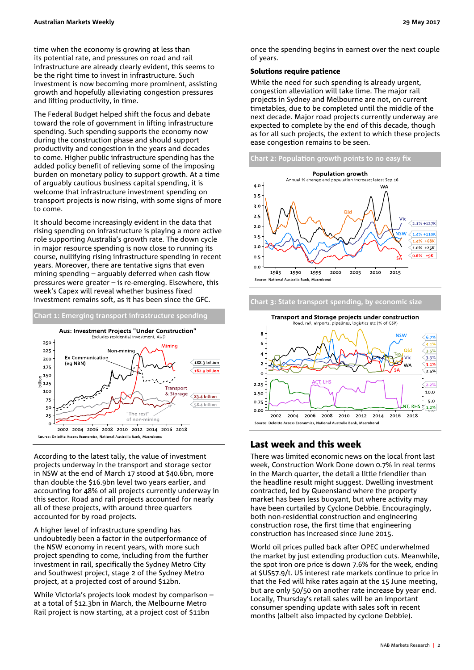time when the economy is growing at less than its potential rate, and pressures on road and rail infrastructure are already clearly evident, this seems to be the right time to invest in infrastructure. Such investment is now becoming more prominent, assisting growth and hopefully alleviating congestion pressures and lifting productivity, in time.

The Federal Budget helped shift the focus and debate toward the role of government in lifting infrastructure spending. Such spending supports the economy now during the construction phase and should support productivity and congestion in the years and decades to come. Higher public infrastructure spending has the added policy benefit of relieving some of the imposing burden on monetary policy to support growth. At a time of arguably cautious business capital spending, it is welcome that infrastructure investment spending on transport projects is now rising, with some signs of more to come.

It should become increasingly evident in the data that rising spending on infrastructure is playing a more active role supporting Australia's growth rate. The down cycle in major resource spending is now close to running its course, nullifying rising infrastructure spending in recent years. Moreover, there are tentative signs that even mining spending – arguably deferred when cash flow pressures were greater – is re-emerging. Elsewhere, this week's Capex will reveal whether business fixed investment remains soft, as it has been since the GFC.

### **Chart 1: Emerging transport infrastructure spending**



According to the latest tally, the value of investment projects underway in the transport and storage sector in NSW at the end of March 17 stood at \$40.6bn, more than double the \$16.9bn level two years earlier, and accounting for 48% of all projects currently underway in this sector. Road and rail projects accounted for nearly all of these projects, with around three quarters accounted for by road projects.

A higher level of infrastructure spending has undoubtedly been a factor in the outperformance of the NSW economy in recent years, with more such project spending to come, including from the further investment in rail, specifically the Sydney Metro City and Southwest project, stage 2 of the Sydney Metro project, at a projected cost of around \$12bn.

While Victoria's projects look modest by comparison – at a total of \$12.3bn in March, the Melbourne Metro Rail project is now starting, at a project cost of \$11bn

once the spending begins in earnest over the next couple of years.

#### Solutions require patience

While the need for such spending is already urgent, congestion alleviation will take time. The major rail projects in Sydney and Melbourne are not, on current timetables, due to be completed until the middle of the next decade. Major road projects currently underway are expected to complete by the end of this decade, though as for all such projects, the extent to which these projects ease congestion remains to be seen.





## **Chart 3: State transport spending, by economic size** Transport and Storage projects under construction

### Last week and this week

There was limited economic news on the local front last week, Construction Work Done down 0.7% in real terms in the March quarter, the detail a little friendlier than the headline result might suggest. Dwelling investment contracted, led by Queensland where the property market has been less buoyant, but where activity may have been curtailed by Cyclone Debbie. Encouragingly, both non-residential construction and engineering construction rose, the first time that engineering construction has increased since June 2015.

World oil prices pulled back after OPEC underwhelmed the market by just extending production cuts. Meanwhile, the spot iron ore price is down 7.6% for the week, ending at \$US57.9/t. US interest rate markets continue to price in that the Fed will hike rates again at the 15 June meeting, but are only 50/50 on another rate increase by year end. Locally, Thursday's retail sales will be an important consumer spending update with sales soft in recent months (albeit also impacted by cyclone Debbie).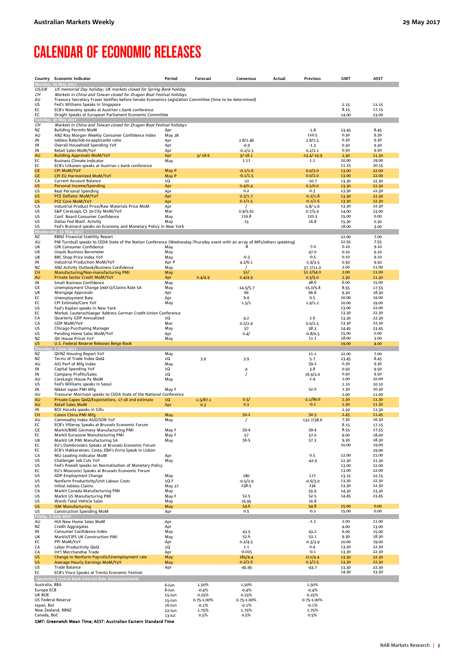# <span id="page-2-0"></span>CALENDAR OF ECONOMIC RELEASES

|                                  | Country Economic Indicator                                                                                                                                   | Period               | Forecast         | Consensus           | Actual | <b>Previous</b>          | <b>GMT</b>     | <b>AEST</b>    |
|----------------------------------|--------------------------------------------------------------------------------------------------------------------------------------------------------------|----------------------|------------------|---------------------|--------|--------------------------|----------------|----------------|
| <b>Monday</b>                    | 29 May 2017                                                                                                                                                  |                      |                  |                     |        |                          |                |                |
| US/UK<br>CН                      | US memorial Day holiday; UK markets closed for Spring Bank holiday<br>Markets in China and Taiwan closed for Dragon Boat Festival holidays                   |                      |                  |                     |        |                          |                |                |
| AU                               | Treasury Secretary Fraser testifies before Senate Economics Legislation Committee (time to be determined)                                                    |                      |                  |                     |        |                          |                |                |
| US                               | Fed's Williams Speaks in Singapore                                                                                                                           |                      |                  |                     |        |                          | 2.15           | 11.15          |
| EC<br>EC                         | ECB's Nowotny speaks at Austrian c.bank conference                                                                                                           |                      |                  |                     |        |                          | 8.15<br>14.00  | 17.15          |
| <b>Tuesday</b>                   | Draghi Speaks at European Parliament Economic Committee<br>30 May 2017                                                                                       |                      |                  |                     |        |                          |                | 23.00          |
| CН                               | Markets in China and Taiwan closed for Dragon Boat Festival holidays                                                                                         |                      |                  |                     |        |                          |                |                |
| NZ                               | <b>Building Permits MoM</b>                                                                                                                                  | Apr                  |                  |                     |        | $-1.8$                   | 23.45          | 8.45           |
| AU<br>JN                         | ANZ Roy Morgan Weekly Consumer Confidence Index<br>Jobless Rate/Job-to-applicanbt ratio                                                                      | <b>May 28</b><br>Apr |                  | 2.8/1.46            |        | 110.5<br>2.8/1.5         | 0.30<br>0.30   | 9.30<br>9.30   |
| JN                               | Overall Household Spending YoY                                                                                                                               | Apr                  |                  | $-0.9$              |        | $-1.3$                   | 0.30           | 9.30           |
| JN                               | Retail Sales MoM/YoY                                                                                                                                         | Apr                  |                  | $-0.2/2.3$          |        | 0.2/2.1                  | 0.50           | 9.50           |
| AU<br>EC                         | <b>Building Approvals MoM/YoY</b><br><b>Business Climate Indicator</b>                                                                                       | Apr<br>May           | $3/-18.6$        | $3/-18.1$<br>1.11   |        | $-13.4/-19.9$<br>$1.1\,$ | 2.30<br>10.00  | 11.30<br>19.00 |
| EC                               | ECB's Liikanen speaks at Austrian c.bank conference                                                                                                          |                      |                  |                     |        |                          | 11.15          | 20.15          |
| GE                               | <b>CPI MoM/YoY</b>                                                                                                                                           | May P                |                  | $-0.1/1.6$          |        | 0.0/2.0                  | 13.00          | 22.00          |
| GE<br>CA                         | <b>CPI EU Harmonized MoM/YoY</b><br><b>Current Account Balance</b>                                                                                           | May P<br>1Q          |                  | $-0.1/1.5$<br>$-12$ |        | 0.0/2.0<br>$-10.7$       | 13.00<br>13.30 | 22.00<br>22.30 |
| <b>US</b>                        | Personal Income/Spending                                                                                                                                     | Apr                  |                  | 0.4/0.4             |        | 0.2/0.0                  | 13.30          | 22.30          |
| US                               | Real Personal Spending                                                                                                                                       | Apr                  |                  | 0.2                 |        | 0.3                      | 13.30          | 22.30          |
| US<br><b>US</b>                  | PCE Deflator MoM/YoY<br>PCE Core MoM/YoY                                                                                                                     | Apr<br>Apr           |                  | 0.2/1.7<br>0.1/1.5  |        | $-0.2/1.8$<br>$-0.1/1.6$ | 13.30<br>13.30 | 22.30<br>22.30 |
| CA                               | Industrial Product Price/Raw Materials Price MoM                                                                                                             | Apr                  |                  |                     |        | $0.8/-1.6$               | 13.30          | 22.30          |
| US                               | S&P CoreLogic CS 20-City MoM/YoY                                                                                                                             | Mar                  |                  | 0.9/5.61            |        | 0.7/5.9                  | 14.00          | 23.00          |
| US<br>US                         | Conf. Board Consumer Confidence<br>Dallas Fed Manf. Activity                                                                                                 | May<br>May           |                  | 119.8<br>15         |        | 120.3<br>16.8            | 15.00<br>15.30 | 0.00<br>0.30   |
| US                               | Fed's Brainard speaks on Economy and Monetary Policy in New York                                                                                             |                      |                  |                     |        |                          | 18.00          | 3.00           |
| <u>Nedne</u>                     |                                                                                                                                                              |                      |                  |                     |        |                          |                |                |
| NZ<br>AU                         | RBNZ Financial Stability Report<br>PM Turnbull speaks to CEDA State of the Nation Conference (Wednesday-Thursday event with an array of MPs/others speaking) |                      |                  |                     |        |                          | 22.00<br>22.55 | 7.00<br>7.55   |
| UK                               | GfK Consumer Confidence                                                                                                                                      | May                  |                  | $-8$                |        | $-7.0$                   | 0.10           | 9.10           |
| UK                               | Lloyds Business Barometer                                                                                                                                    | May                  |                  |                     |        | 47.0                     | 0.10           | 9.10           |
| UK<br>JN                         | BRC Shop Price Index YoY<br>Industrial Production MoM/YoY                                                                                                    | May<br>Apr P         |                  | $-0.3$<br>4.2/6.1   |        | $-0.5$<br>$-1.9/3.5$     | 0.10<br>0.50   | 9.10<br>9.50   |
| NZ                               | ANZ Activity Outlook/Business Confidence                                                                                                                     | May                  |                  |                     |        | 37.7/11.0                | 2.00           | 11.00          |
| <b>CH</b>                        | Manufacturing/Non-manufacturing PMI                                                                                                                          | May                  |                  | 51/                 |        | 51.2/54.0                | 2.00           | 11.00          |
| AU<br>JN                         | Private Sector Credit MoM/YoY<br>Small Business Confidence                                                                                                   | Apr<br>May           | 0.4/4.9          | 0.4/4.9             |        | 0.3/5.0<br>48.6          | 2.30<br>6.00   | 11.30<br>15.00 |
| GE                               | Unemployment Change (000's)/Claims Rate SA                                                                                                                   | May                  |                  | -14.5/5.7           |        | $-15.0/5.8$              | 8.55           | 17.55          |
| UK                               | Mortgage Approvals                                                                                                                                           | Apr                  |                  | 66                  |        | 66.8                     | 9.30           | 18.30          |
| EC<br>EC                         | <b>Unemployment Rate</b><br>CPI Estimate/Core YoY                                                                                                            | Apr<br>May           |                  | 9.4<br>1.5/1        |        | 9.5<br>1.9/1.2           | 10.00<br>10.00 | 19.00<br>19.00 |
| US                               | Fed's Kaplan speaks in New York                                                                                                                              |                      |                  |                     |        |                          | 13.00          | 22.00          |
| EC                               | Merkel, Lautenschlaeger Address German Credit-Union Conference                                                                                               |                      |                  |                     |        |                          | 13.30          | 22.30          |
| CA<br>CA                         | Quarterly GDP Annualized<br><b>GDP MoM/YoY</b>                                                                                                               | 1Q<br>Mar            |                  | 4.2<br>0.2/2.9      |        | 2.6<br>0.0/2.5           | 13.30<br>13.30 | 22.30<br>22.30 |
| US                               | Chicago Purchasing Manager                                                                                                                                   | May                  |                  | 57                  |        | 58.3                     | 14.45          | 23.45          |
| US                               | Pending Home Sales MoM/YoY                                                                                                                                   | Apr                  |                  | 0.4/                |        | $-0.8/0.5$               | 15.00          | 0.00           |
| NZ<br><b>US</b>                  | QV House Prices YoY<br>U.S. Federal Reserve Releases Beige Book                                                                                              | May                  |                  |                     |        | 11.1                     | 18.00<br>19.00 | 3.00<br>4.00   |
| Thursda                          | , 1 June 2017                                                                                                                                                |                      |                  |                     |        |                          |                |                |
| ΝZ                               | QVNZ Housing Report YoY                                                                                                                                      | May                  |                  |                     |        | 11.1                     | 22.00          | 7.00           |
| ΝZ<br>AU                         | Terms of Trade Index QoQ<br>AiG Perf of Mfg Index                                                                                                            | 1Q<br>May            | 3.9              | 3.9                 |        | 5.7<br>59.2              | 23.45<br>0.30  | 8.45<br>9.30   |
| JN                               | Capital Spending YoY                                                                                                                                         | 1Q                   |                  | 4                   |        | 3.8                      | 0.50           | 9.50           |
| JN                               | Company Profits/Sales                                                                                                                                        | 1Q                   |                  |                     |        | 16.9/2.0                 | 0.50           | 9.50           |
| AU<br>US                         | CoreLogic House Px MoM<br>Fed's Williams speaks in Seoul                                                                                                     | May                  |                  |                     |        | 1.4                      | 1.00<br>1.10   | 10.00<br>10.10 |
| JN                               | Nikkei Japan PMI Mfg                                                                                                                                         | May F                |                  |                     |        | 52.0                     | 1.30           | 10.30          |
| AU                               | Treasurer Morrison speaks to CEDA State of the National Conference                                                                                           |                      |                  |                     |        |                          | 2.00           | 11.00          |
| AU<br>AU                         | Private Capex QoQ/Expectations, 17-18 2nd estimate<br><b>Retail Sales MoM</b>                                                                                | 1Q<br>Apr            | $-1.5/87.1$      | 0.5/<br>0.3         |        | $-2.1/80.6$<br>$-0.1$    | 2.30<br>2.30   | 11.30<br>11.30 |
| JN                               | BOJ Harada speaks in Gifu                                                                                                                                    |                      | 0.3              |                     |        |                          | 2.30           | 11.30          |
| CH                               | Caixin China PMI Mfg                                                                                                                                         | May                  |                  | 50.2                |        | 50.3                     | 2.45           | 11.45          |
| AU<br>EC                         | Commodity Index AUD/SDR YoY<br>ECB's Villeroy Speaks at Brussels Economic Forum                                                                              | May                  |                  | $\prime$            |        | 132.7/38.6               | 7.30<br>8.15   | 16.30<br>17.15 |
| GE                               | Markit/BME Germany Manufacturing PMI                                                                                                                         | May F                |                  | 59.4                |        | 59.4                     | 8.55           | 17.55          |
| EC                               | Markit Eurozone Manufacturing PMI                                                                                                                            | May F                |                  | 57                  |        | 57.0                     | 9.00           | 18.00          |
| UK<br>EC                         | Markit UK PMI Manufacturing SA<br>EU's Dombrovskis Speaks at Brussels Economic Forum                                                                         | May                  |                  | 56.5                |        | 57.3                     | 9.30<br>10.00  | 18.30<br>19.00 |
| EC                               | ECB's Hakkarainen, Costa, EBA's Enria Speak in Lisbon                                                                                                        |                      |                  |                     |        |                          |                | 19.00          |
| CA                               | MLI Leading Indicator MoM                                                                                                                                    | Apr                  |                  |                     |        | 0.5                      | 12.00          | 21.00          |
| US<br>US                         | Challenger Job Cuts YoY<br>Fed's Powell speaks on Normalisation of Monetary Policy                                                                           | May                  |                  |                     |        | $-42.9$                  | 12.30<br>13.00 | 21.30<br>22.00 |
| EC                               | EU's Moscovici Speaks at Brussels Economic Forum                                                                                                             |                      |                  |                     |        |                          | 13.00          | 22.00          |
| US                               | ADP Employment Change                                                                                                                                        | May                  |                  | 180                 |        | 177                      | 13.15          | 22.15          |
| US<br>US                         | Nonfarm Productivity/Unit Labour Costs<br>Initial Jobless Claims                                                                                             | 1Q F<br>May 27       |                  | $-0.5/2.9$<br>238.5 |        | $-0.6/3.0$<br>234        | 13.30<br>13.30 | 22.30<br>22.30 |
| CA                               | Markit Canada Manufacturing PMI                                                                                                                              | May                  |                  |                     |        | 55.9                     | 14.30          | 23.30          |
| US                               | Markit US Manufacturing PMI                                                                                                                                  | May F                |                  | 52.5                |        | 52.5                     | 14.45          | 23.45          |
| US<br>US                         | Wards Total Vehicle Sales<br><b>ISM Manufacturing</b>                                                                                                        | May<br>May           |                  | 16.95<br>54.6       |        | 16.8<br>54.8             | 15.00          | 0.00           |
| US                               | <b>Construction Spending MoM</b>                                                                                                                             | Apr                  |                  | 0.5                 |        | $-0.2$                   | 15.00          | 0.00           |
| Friday, 2                        | June 2017                                                                                                                                                    |                      |                  |                     |        |                          |                |                |
| AU<br>ΝZ                         | HIA New Home Sales MoM<br><b>Credit Aggregates</b>                                                                                                           | Apr<br>Apr           |                  |                     |        | $-1.1$                   | 2.00<br>4.00   | 11.00<br>13.00 |
| JN                               | Consumer Confidence Index                                                                                                                                    | May                  |                  | 43.5                |        | 43.2                     | 6.00           | 15.00          |
| UK                               | Markit/CIPS UK Construction PMI                                                                                                                              | May                  |                  | 52.6                |        | 53.1                     | 9.30           | 18.30          |
| EC<br>CA                         | PPI MoM/YoY<br>Labor Productivity QoQ                                                                                                                        | Apr<br>1Q            |                  | 0.2/4.5<br>1.1      |        | $-0.3/3.9$<br>0.4        | 10.00<br>13.30 | 19.00<br>22.30 |
| CA                               | Int'l Merchandise Trade                                                                                                                                      | Apr                  |                  | $-0.015$            |        | $-0.1$                   | 13.30          | 22.30          |
| US                               | Change in Nonfarm Payrolls/Unemployment rate                                                                                                                 | May                  |                  | 185/4.4             |        | 211/4.4                  | 13.30          | 22.30          |
| US<br>US                         | Average Hourly Earnings MoM/YoY<br><b>Trade Balance</b>                                                                                                      | May<br>Apr           |                  | 0.2/2.6<br>$-45.95$ |        | 0.3/2.5<br>$-43.7$       | 13.30<br>13.30 | 22.30<br>22.30 |
| EC                               | ECB's Visco Speaks at Trento Economic Festival                                                                                                               |                      |                  |                     |        |                          | 14.30          | 23.30          |
|                                  | <b>Upcoming Central Bank Interest Rate Announcements</b>                                                                                                     |                      |                  |                     |        |                          |                |                |
| Australia, RBA                   |                                                                                                                                                              | 6-Jun                | 1.50%            | 1.50%               |        | 1.50%                    |                |                |
| Europe ECB<br>UK BOE             |                                                                                                                                                              | 8-Jun<br>15-Jun      | $-0.4%$<br>0.25% | $-0.4%$<br>0.25%    |        | $-0.4%$<br>0.25%         |                |                |
| US Federal Reserve               |                                                                                                                                                              | 15-Jun               | 0.75-1.00%       | 0.75-1.00%          |        | 0.75-1.00%               |                |                |
| Japan, BoJ                       |                                                                                                                                                              | 16-Jun               | $-0.1%$          | $-0.1%$             |        | $-0.1%$                  |                |                |
| New Zealand, RBNZ<br>Canada, BoC |                                                                                                                                                              | 22-Jun<br>13-Jul     | 1.75%<br>0.5%    | 1.75%<br>0.5%       |        | 1.75%<br>0.5%            |                |                |
|                                  | GMT: Greenwich Mean Time; AEST: Australian Eastern Standard Time                                                                                             |                      |                  |                     |        |                          |                |                |
|                                  |                                                                                                                                                              |                      |                  |                     |        |                          |                |                |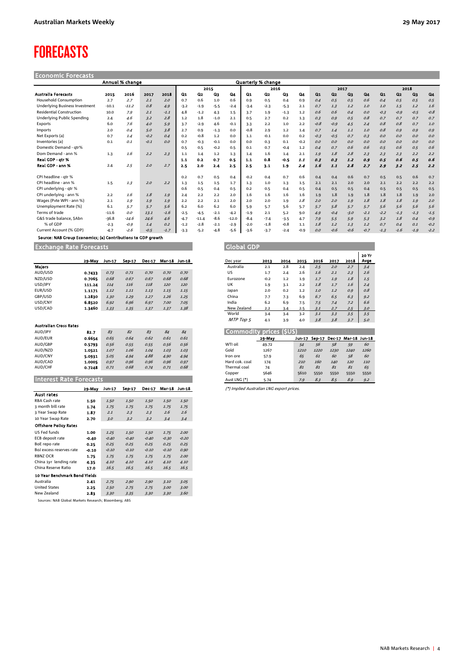# <span id="page-3-0"></span>FORECASTS

Economic Forecasts

|                                 |         | Annual % change |        |        |        |         |        |         |        | Quarterly % change |        |        |                |                |        |        |        |                |        |        |
|---------------------------------|---------|-----------------|--------|--------|--------|---------|--------|---------|--------|--------------------|--------|--------|----------------|----------------|--------|--------|--------|----------------|--------|--------|
|                                 |         |                 |        |        |        | 2015    |        |         |        | 2016               |        |        |                | 2017           |        |        |        | 2018           |        |        |
| <b>Australia Forecasts</b>      | 2015    | 2016            | 2017   | 2018   | Q1     | Q2      | QЗ     | Q4      | Q1     | Q2                 | Q3     | Q4     | Q <sub>1</sub> | Q <sub>2</sub> | Q3     | Q4     | Q1     | Q <sub>2</sub> | Q3     | Q4     |
| Household Consumption           | 2.7     | 2.7             | 2.1    | 2.0    | 0.7    | 0.6     | $1.0$  | 0.6     | 0.9    | 0.5                | 0.4    | 0.9    | 0.4            | 0.5            | 0.5    | 0.6    | 0.4    | 0.5            | 0.5    | 0.5    |
| Underlying Business Investment  | $-10.1$ | $-11.2$         | 0.8    | 4.9    | $-3.2$ | $-1.9$  | $-5.5$ | $-2.4$  | $-3.4$ | $-2.3$             | $-5.3$ | 2.1    | 0.7            | 1.3            | 1.2    | 1.0    | 1.0    | 1.5            | 1.2    | 1.6    |
| <b>Residential Construction</b> | 10.0    | 7.9             | 2.1    | $-1.1$ | 4.8    | $-1.2$  | 4.3    | 1.5     | 3.7    | 1.9                | $-1.3$ | 1.2    | 0.6            | 0.6            | 0.4    | O.O    | $-0.3$ | $-0.9$         | $-0.5$ | $-0.8$ |
| Underlying Public Spending      | 2.4     | 4.6             | 3.2    | 2.8    | 1.2    | 1.8     | $-1.0$ | 2.1     | 0.5    | 2.7                | 0.2    | 1.3    | 0.3            | 0.9            | 0.5    | 0.8    | 0.7    | 0.7            | 0.7    | 0.7    |
| Exports                         | 6.0     | 7.6             | 4.0    | 5.9    | 3.7    | $-2.9$  | 4.6    | $-0.1$  | 3.3    | 2.2                | 1.0    | 2.2    | $-0.8$         | $-0.9$         | 4.5    | 2.4    | 0.8    | 0.8            | 0.7    | 1.0    |
| Imports                         | 2.0     | 0.4             | 5.0    | 3.8    | 2.7    | 0.9     | $-1.3$ | 0.0     | $-0.8$ | 2.9                | 1.2    | 1.4    | 0.7            | 1.4            | 1.1    | 1.0    | 0.8    | 0.9            | 0.9    | 0.9    |
| Net Exports (a)                 | 0.7     | 1.4             | $-0.2$ | 0.4    | 0.2    | $-0.8$  | 1.2    | 0.0     | 1.1    | $-0.1$             | 0.0    | 0.2    | $-0.3$         | $-0.5$         | 0.7    | 0.3    | 0.0    | O.O            | 0.0    | 0.0    |
| Inventories (a)                 | 0.1     | 0.1             | $-0.1$ | O.O    | 0.7    | $-0.3$  | $-0.1$ | 0.0     | 0.0    | 0.3                | 0.1    | $-0.2$ | O.O            | 0.0            | O.O    | O.O    | 0.0    | O.O            | 0.0    | 0.0    |
| Domestic Demand - atr%          |         |                 |        |        | 0.5    | 0.5     | $-0.2$ | 0.5     | 0.1    | 0.7                | $-0.4$ | 1.2    | 0.4            | 0.7            | 0.6    | 0.6    | 0.5    | 0.6            | 0.5    | 0.6    |
| Dom Demand - ann %              | 1.3     | 1.6             | 2.2    | 2.3    | 1.1    | 1.4     | 1.2    | 1.3     | 1.4    | 1.6                | 1.4    | 2.1    | 1.9            | 1.8            | 2.8    | 2.3    | 2.3    | 2.3            | 2.2    | 2.2    |
| Real GDP - gtr %                |         |                 |        |        | 1.1    | 0.2     | 0.7    | 0.5     | 1.1    | 0.8                | $-0.5$ | 1.1    | 0.3            | 0.3            | 1.2    | 0.9    | 0.5    | 0.6            | 0.5    | 0.6    |
| Real GDP - ann %                | 2.4     | 2.5             | 2.0    | 2.7    | 2.5    | 2.0     | 2.4    | 2.5     | 2.5    | 3.1                | 1.9    | 2.4    | 1.6            | 1.1            | 2.8    | 2.7    | 2.9    | 3.2            | 2.5    | 2.2    |
| CPI headline - qtr %            |         |                 |        |        | 0.2    | 0.7     | 0.5    | 0.4     | $-0.2$ | 0.4                | 0.7    | 0.6    | 0.4            | 0.4            | 0.6    | 0.7    | 0.5    | 0.5            | 0.6    | 0.7    |
| CPI headline - ann %            | 1.5     | 1.3             | 2.0    | 2.2    | 1.3    | 1.5     | 1.5    | 1.7     | 1.3    | 1.0                | 1.3    | 1.5    | 2.1            | 2.1            | 2.0    | 2.0    | 2.1    | 2.2            | 2.2    | 2.2    |
| CPI underlying - qtr %          |         |                 |        |        | 0.6    | 0.5     | 0.4    | 0.5     | 0.2    | 0.5                | 0.4    | 0.5    | 0.4            | 0.5            | 0.5    | 0.4    | 0.5    | 0.5            | 0.5    | 0.5    |
| CPI underlying - ann %          | 2.2     | 1.6             | 1.8    | 1.9    | 2.4    | 2.2     | 2.2    | 2.0     | 1.6    | 1.6                | 1.6    | 1.6    | 1.9            | 1.8            | 1.9    | 1.8    | 1.8    | 1.8            | 1.9    | 2.0    |
| Wages (Pvte WPI - ann %)        | 2.1     | 1.9             | 1.9    | 1.9    | 2.2    | 2.2     | 2.1    | 2.0     | 2.0    | 2.0                | 1.9    | 1.8    | 2.0            | 2.0            | 1.9    | 1.8    | 1.8    | 1.8            | 1.9    | 2.0    |
| Unemployment Rate (%)           | 6.1     | 5.7             | 5.7    | 5.6    | 6.2    | 6.0     | 6.2    | 6.0     | 5.9    | 5.7                | 5.6    | 5.7    | 5.7            | 5.8            | 5.7    | 5.7    | 5.6    | 5.6            | 5.6    | 5.6    |
| Terms of trade                  | $-11.6$ | 0.0             | 13.1   | $-1.6$ | $-2.5$ | $-4.5$  | $-2.1$ | $-4.2$  | $-1.9$ | 2.1                | 5.2    | 9.0    | 4.9            | $-0.4$         | $-3.0$ | $-2.1$ | $-2.2$ | $-1.3$         | $-1.3$ | $-1.5$ |
| G&S trade balance, \$Abn        | $-36.8$ | $-14.6$         | 24.6   | 4.6    | $-4.7$ | $-11.4$ | $-8.6$ | $-12.0$ | $-8.4$ | $-7.4$             | $-3.5$ | 4.7    | 7.9            | 5.5            | 5.9    | 5.3    | 3.2    | 1.8            | 0.4    | $-0.9$ |
| % of GDP                        | $-2.3$  | $-0.9$          | 1.4    | 0.2    | $-1.2$ | $-2.8$  | $-2.1$ | $-2.9$  | $-2.0$ | $-1.8$             | $-0.8$ | 1.1    | 1.8            | 1.2            | 1.3    | 1.2    | 0.7    | 0.4            | 0.1    | $-0.2$ |
| Current Account (% GDP)         | $-4.7$  | $-2.6$          | $-0.5$ | $-1.7$ | $-3.3$ | $-5.2$  | $-4.8$ | -5.6    | $-3.6$ | $-3.7$             | $-2.4$ | $-0.9$ | 0.0            | $-0.6$         | $-0.6$ | $-0.7$ | $-1.3$ | $-1.6$         | $-1.9$ | $-2.2$ |

Source: NAB Group Economics; (a) Contributions to GDP growth

Exchange Rate Forecasts Global GDP

|                               | 29-May | Jun-17 | Sep-17         | <b>Dec-17</b> | Mar-18 Jun-18  |             |
|-------------------------------|--------|--------|----------------|---------------|----------------|-------------|
| <b>Majors</b>                 |        |        |                |               |                |             |
| AUD/USD                       | 0.7433 | 0.73   | 0.71           | 0.70          | 0.70           | 0.70        |
| NZD/USD                       | 0.7065 | 0.68   | 0.67           | 0.67          | 0.68           | 0.68        |
| USD/JPY                       | 111.24 | 114    | 116            | 118           | 120            | 120         |
| EUR/USD                       | 1.1171 | 1.12   | 1.11           | 1.13          | 1.15           | 1.15        |
| GBP/USD                       | 1.2830 | 1.30   | 1.29           | 1.27          | 1.26           | 1.25        |
| USD/CNY                       | 6.8520 | 6.92   | 6.96           | 6.97          | 7.00           | 7.05        |
| USD/CAD                       | 1.3460 | 1.33   | 1.35           | 1.37          | 1.37           | 1.38        |
|                               |        |        |                |               |                |             |
|                               |        |        |                |               |                |             |
| <b>Australian Cross Rates</b> |        |        |                |               |                |             |
| AUD/JPY                       | 82.7   | 83     | 82             | 83            | 84             | 84          |
| $5115$ $17115$                | $   -$ | $ -$   | $ \sim$ $\sim$ | $ -$          | $ \sim$ $\sim$ | $ \sim$ $-$ |

| <b>AV 2121 1</b> | .      | $\sim$ | .    | ້    | ⊷    | $\overline{\phantom{a}}$ |                | $\sim$ |        |      |      |                             |      |
|------------------|--------|--------|------|------|------|--------------------------|----------------|--------|--------|------|------|-----------------------------|------|
| AUD/EUR          | 0.6654 | 0.65   | 0.64 | 0.62 | 0.61 | 0.61                     |                | 29-May | Jun-17 |      |      | Sep-17 Dec-17 Mar-18 Jun-18 |      |
| AUD/GBP          | 0.5793 | 0.56   | 0.55 | 0.55 | 0.56 | 0.56                     | WTI oil        | 49.72  | 54     | 56   | 58   | 59                          | 60   |
| AUD/NZD          | 1.0521 | 1.07   | 1.06 | 1.04 | 1.03 | 1.03                     | Gold           | 1267   | 1210   | 1220 | 1230 | 1240                        | 1260 |
| AUD/CNY          | 5.0931 | 5.05   | 4.94 | 4.88 | 4.90 | 4.94                     | Iron ore       | 57.9   | 65     | 61   | 60   | 58                          | 60   |
| AUD/CAD          | 1.0005 | 0.97   | 0.96 | 0.96 | 0.96 | 0.97                     | Hard cok. coal | 174    | 210    | 160  | 140  | 120                         | 110  |
| AUD/CHF          | 0.7248 | 0.71   | 0.68 | 0.74 | 0.71 | 0.68                     | Thermal coal   | 74     | 81     | 81   | 81   | 81                          | 65   |

| <b>Interest Rate Forecast:</b> |  |  |
|--------------------------------|--|--|
|                                |  |  |

|                               | 29-May  | Jun-17  | Sep-17  | Dec-17  | Mar-18  | Jun-18  |
|-------------------------------|---------|---------|---------|---------|---------|---------|
| Aust rates                    |         |         |         |         |         |         |
| RBA Cash rate                 | 1.50    | 1.50    | 1.50    | 1.50    | 1.50    | 1.50    |
| 3 month bill rate             | 1.74    | 1.75    | 1.75    | 1.75    | 1.75    | 1.75    |
| 3 Year Swap Rate              | 1.87    | 2.1     | 2.3     | 2.3     | 2.6     | 2.6     |
| 10 Year Swap Rate             | 2.70    | 3.0     | 3.2     | 3.2     | 3.4     | 3.4     |
| <b>Offshore Policy Rates</b>  |         |         |         |         |         |         |
| US Fed funds                  | 1.00    | 1.25    | 1.50    | 1.50    | 1.75    | 2.00    |
| ECB deposit rate              | $-0.40$ | $-0.40$ | $-0.40$ | $-0.40$ | $-0.30$ | $-0.20$ |
| BoE repo rate                 | 0.25    | 0.25    | 0.25    | 0.25    | 0.25    | 0.25    |
| Bol excess reserves rate      | $-0.10$ | $-0.10$ | $-0.10$ | $-0.10$ | $-0.10$ | 0.90    |
| <b>RBNZ OCR</b>               | 1.75    | 1.75    | 1.75    | 1.75    | 1.75    | 2.00    |
| China 1yr lending rate        | 4.35    | 4.10    | 4.10    | 4.10    | 4.10    | 4.10    |
| China Reserve Ratio           | 17.0    | 16.5    | 16.5    | 16.5    | 16.5    | 16.5    |
| 10 Year Benchmark Bond Yields |         |         |         |         |         |         |
| Australia                     | 2.41    | 2.75    | 2.90    | 2.90    | 3.10    | 3.05    |
| <b>United States</b>          | 2.25    | 2.50    | 2.75    | 2.75    | 3.00    | 3.00    |
| New Zealand                   | 2.83    | 3.30    | 3.35    | 3.30    | 3.30    | 3.60    |

Sources: NAB Global Markets Research; Bloomberg; ABS

| orecasts |        |        |               |               |      | <b>Global GDP</b> |        |      |      |      |      |      |               |
|----------|--------|--------|---------------|---------------|------|-------------------|--------|------|------|------|------|------|---------------|
| 29-Mav   | Jun-17 | Sep-17 | <b>Dec-17</b> | Mar-18 Jun-18 |      | Dec year          | 2013   | 2014 | 2015 | 2016 | 2017 | 2018 | 20 Yr<br>Avge |
|          |        |        |               |               |      | Australia         | 2.1    | 2.8  | 2.4  | 2.5  | 2.0  | 2.7  | 3.4           |
| 0.7433   | 0.73   | 0.71   | 0.70          | 0.70          | 0.70 | US                | 1.7    | 2.4  | 2.6  | 1.6  | 2.1  | 2.3  | 2.6           |
| 0.7065   | 0.68   | 0.67   | 0.67          | 0.68          | 0.68 | Eurozone          | $-0.2$ | 1.2  | 1.9  | 1.7  | 1.9  | 1.8  | 1.5           |
| 111.24   | 114    | 116    | 118           | 120           | 120  | UK                | 1.9    | 3.1  | 2.2  | 1.8  | 1.7  | 1.6  | 2.4           |
| 1.1171   | 1.12   | 1.11   | 1.13          | 1.15          | 1.15 | Japan             | 2.0    | 0.2  | 1.2  | 1.0  | 1.2  | 0.9  | 0.8           |
| 1.2830   | 1.30   | 1.29   | 1.27          | 1.26          | 1.25 | China             | 7.7    | 7.3  | 6.9  | 6.7  | 6.5  | 6.3  | 9.2           |
| 6.8520   | 6.92   | 6.96   | 6.97          | 7.00          | 7.05 | India             | 6.2    | 6.9  | 7.5  | 7.5  | 7.4  | 7.2  | 6.6           |
| 1.3460   | 1.33   | 1.35   | 1.37          | 1.37          | 1.38 | New Zealand       | 2.2    | 3.4  | 2.5  | 3.1  | 2.7  | 2.5  | 3.0           |
|          |        |        |               |               |      | World             | 3.4    | 3.4  | 3.2  | 3.1  | 3.3  | 3.5  | 3.5           |
|          |        |        |               |               |      | MTP Top 5         | 4.1    | 3.9  | 4.0  | 3.8  | 3.8  | 3.7  | 5.0           |

|                          |        |      |      |      |      |      |                | ---    |      |      |      |                                    |      |
|--------------------------|--------|------|------|------|------|------|----------------|--------|------|------|------|------------------------------------|------|
| <b>AUD/EUR</b>           | 0.6654 | 0.65 | 0.64 | 0.62 | 0.61 | 0.61 |                | 29-May |      |      |      | Jun-17 Sep-17 Dec-17 Mar-18 Jun-18 |      |
| <b>AUD/GBP</b>           | 0.5793 | 0.56 | 0.55 | 0.55 | 0.56 | 0.56 | WTI oil        | 49.72  | 54   | 56   | 58   | 59                                 | 60   |
| AUD/NZD                  | 1.0521 | 1.07 | 1.06 | 1.04 | 1.03 | 1.03 | Gold           | 1267   | 1210 | 1220 | 1230 | 1240                               | 1260 |
| <b>AUD/CNY</b>           | 5.0931 | 5.05 | 4.94 | 4.88 | 4.90 | 4.94 | Iron ore       | 57.9   | 65   | 61   | 60   | 58                                 | 60   |
| AUD/CAD                  | 1.0005 | 0.97 | 0.96 | 0.96 | 0.96 | 0.97 | Hard cok. coal | 174    | 210  | 160  | 140  | 120                                | 110  |
| <b>AUD/CHF</b>           | 0.7248 | 0.71 | 0.68 | 0.74 | 0.71 | 0.68 | Thermal coal   | 74     | 81   | 81   | 81   | 81                                 | 65   |
|                          |        |      |      |      |      |      | Copper         | 5646   | 5610 | 5550 | 5550 | 5550                               | 5550 |
| Interest Rate Forecasts. |        |      |      |      |      |      | Aust LNG (*)   | 5.74   | 7.9  | 8.3  | 8.5  | 8.9                                | 9.2  |

<sup>\*</sup>) Implied Australian LNG export prices.